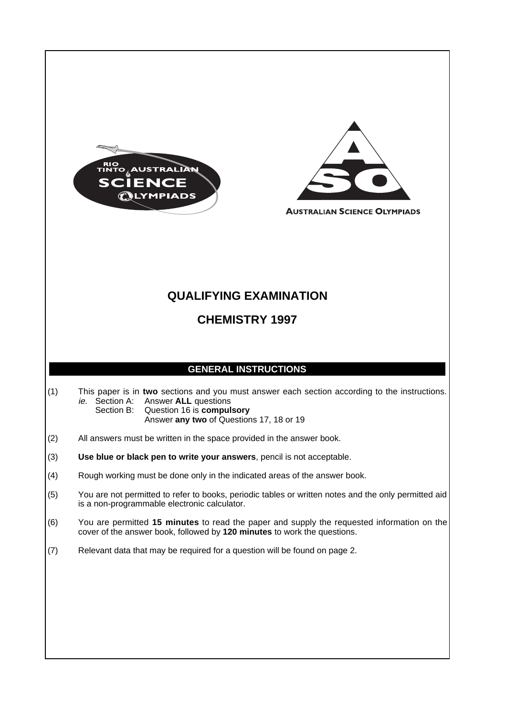



**AUSTRALIAN SCIENCE OLYMPIADS** 

# **QUALIFYING EXAMINATION**

# **CHEMISTRY 1997**

## **GENERAL INSTRUCTIONS**

- (1) This paper is in **two** sections and you must answer each section according to the instructions. Answer **ALL** questions Section B: Question 16 is **compulsory**
	- Answer **any two** of Questions 17, 18 or 19
- (2) All answers must be written in the space provided in the answer book.
- (3) **Use blue or black pen to write your answers**, pencil is not acceptable.
- (4) Rough working must be done only in the indicated areas of the answer book.
- (5) You are not permitted to refer to books, periodic tables or written notes and the only permitted aid is a non-programmable electronic calculator.
- (6) You are permitted **15 minutes** to read the paper and supply the requested information on the cover of the answer book, followed by **120 minutes** to work the questions.
- (7) Relevant data that may be required for a question will be found on page 2.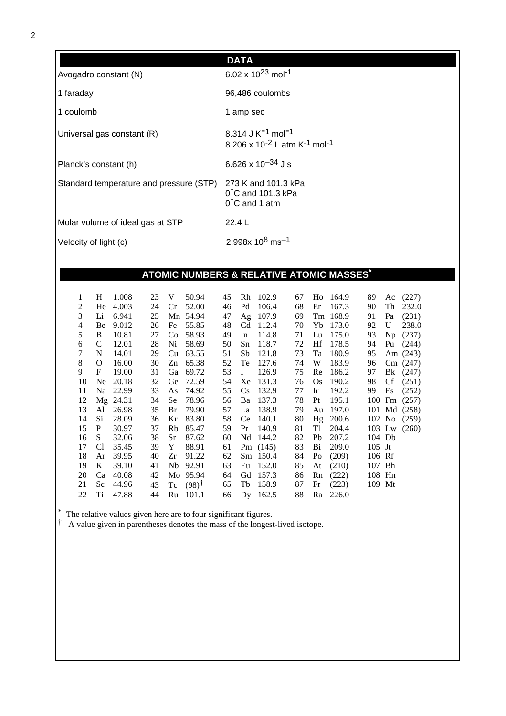|                                         | <b>DATA</b>                                                                                                   |
|-----------------------------------------|---------------------------------------------------------------------------------------------------------------|
| Avogadro constant (N)                   | 6.02 x $10^{23}$ mol <sup>-1</sup>                                                                            |
| 1 faraday                               | 96,486 coulombs                                                                                               |
| 1 coulomb                               | 1 amp sec                                                                                                     |
| Universal gas constant (R)              | 8.314 J K <sup>-1</sup> mol <sup>-1</sup><br>8.206 x 10 <sup>-2</sup> L atm K <sup>-1</sup> mol <sup>-1</sup> |
| Planck's constant (h)                   | 6.626 x $10^{-34}$ J s                                                                                        |
| Standard temperature and pressure (STP) | 273 K and 101.3 kPa<br>0°C and 101.3 kPa<br>$0^{\circ}$ C and 1 atm                                           |
| Molar volume of ideal gas at STP        | 22.4 $L$                                                                                                      |
| Velocity of light (c)                   | $2.998x 10^8$ ms <sup>-1</sup>                                                                                |

# **ATOMIC NUMBERS & RELATIVE ATOMIC MASSES\***

| 1  | H              | 1.008    | 23 | V         | 50.94                  | 45 |              | Rh 102.9   | 67 |           | Ho 164.9 | 89       |           | Ac $(227)$   |
|----|----------------|----------|----|-----------|------------------------|----|--------------|------------|----|-----------|----------|----------|-----------|--------------|
| 2  | He             | 4.003    | 24 | Cr        | 52.00                  | 46 | Pd           | 106.4      | 68 | Er        | 167.3    | 90       | Th        | 232.0        |
| 3  | Li             | 6.941    | 25 |           | Mn 54.94               | 47 |              | Ag 107.9   | 69 |           | Tm 168.9 | 91       | Pa        | (231)        |
| 4  | Be             | 9.012    | 26 | Fe        | 55.85                  | 48 | Cd           | 112.4      | 70 | Yb        | 173.0    | 92       | U         | 238.0        |
| 5  | B              | 10.81    | 27 | Co        | 58.93                  | 49 | In           | 114.8      | 71 | Lu        | 175.0    | 93       | Np        | (237)        |
| 6  | C              | 12.01    | 28 | Ni        | 58.69                  | 50 | Sn           | 118.7      | 72 | Hf        | 178.5    | 94       |           | Pu (244)     |
| 7  | N              | 14.01    | 29 | Cu        | 63.55                  | 51 | Sb           | 121.8      | 73 | Ta        | 180.9    | 95       |           | Am $(243)$   |
| 8  | O              | 16.00    | 30 | Zn        | 65.38                  | 52 | Te           | 127.6      | 74 | W         | 183.9    | 96       |           | Cm(247)      |
| 9  | F              | 19.00    | 31 | Ga        | 69.72                  | 53 | $\mathbf{I}$ | 126.9      | 75 | Re        | 186.2    | 97       |           | Bk (247)     |
| 10 | Ne.            | 20.18    | 32 | Ge        | 72.59                  | 54 | Xe           | 131.3      | 76 | <b>Os</b> | 190.2    | 98       | <b>Cf</b> | (251)        |
| 11 | Na             | 22.99    | 33 | As        | 74.92                  | 55 | Cs           | 132.9      | 77 | Ir        | 192.2    | 99       | Es        | (252)        |
| 12 |                | Mg 24.31 | 34 | <b>Se</b> | 78.96                  | 56 | Ba           | 137.3      | 78 | Pt        | 195.1    |          |           | 100 Fm (257) |
| 13 | Al             | 26.98    | 35 | Br        | 79.90                  | 57 | La           | 138.9      | 79 | Au        | 197.0    |          |           | 101 Md (258) |
| 14 | Si             | 28.09    | 36 | Kr        | 83.80                  | 58 | Ce           | 140.1      | 80 |           | Hg 200.6 |          |           | 102 No (259) |
| 15 | P              | 30.97    | 37 | Rb        | 85.47                  | 59 | Pr           | 140.9      | 81 | Tl        | 204.4    |          |           | 103 Lw (260) |
| 16 | S              | 32.06    | 38 | Sr        | 87.62                  | 60 | Nd           | 144.2      | 82 | Pb        | 207.2    | 104 Db   |           |              |
| 17 | C <sub>1</sub> | 35.45    | 39 | Y         | 88.91                  | 61 |              | Pm $(145)$ | 83 | Bi        | 209.0    | $105$ Jt |           |              |
| 18 | Ar             | 39.95    | 40 | Zr        | 91.22                  | 62 |              | Sm 150.4   | 84 | Po        | (209)    | 106 Rf   |           |              |
| 19 | K              | 39.10    | 41 | Nb        | 92.91                  | 63 |              | Eu 152.0   | 85 | At        | (210)    | 107 Bh   |           |              |
| 20 | Ca             | 40.08    | 42 |           | Mo 95.94               | 64 | Gd           | 157.3      | 86 | Rn        | (222)    | 108 Hn   |           |              |
| 21 | <sub>Sc</sub>  | 44.96    | 43 |           | Tc $(98)$ <sup>†</sup> | 65 | Tb           | 158.9      | 87 | Fr        | (223)    | 109 Mt   |           |              |
| 22 | Ti             | 47.88    | 44 | Ru        | 101.1                  | 66 |              | Dy 162.5   | 88 | Ra        | 226.0    |          |           |              |
|    |                |          |    |           |                        |    |              |            |    |           |          |          |           |              |

\* The relative values given here are to four significant figures.

† A value given in parentheses denotes the mass of the longest-lived isotope.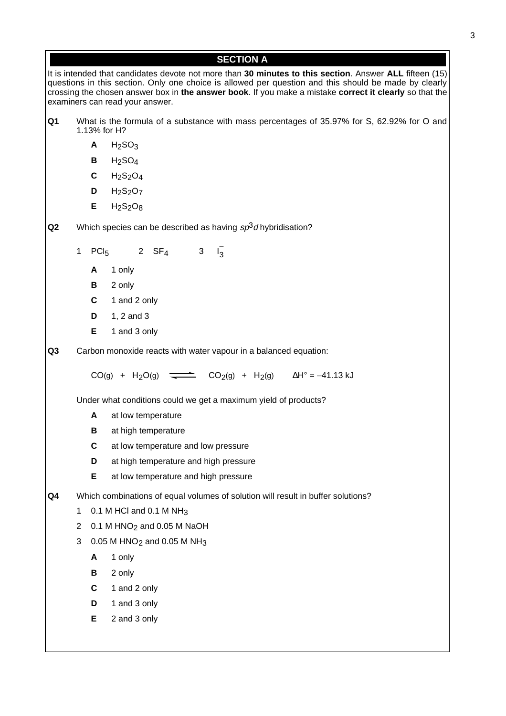|                                                          |                                                                                                            | <b>SECTION A</b>                                                                                                                                                                                                                                                                                                                                               |  |  |  |  |  |
|----------------------------------------------------------|------------------------------------------------------------------------------------------------------------|----------------------------------------------------------------------------------------------------------------------------------------------------------------------------------------------------------------------------------------------------------------------------------------------------------------------------------------------------------------|--|--|--|--|--|
|                                                          |                                                                                                            | It is intended that candidates devote not more than 30 minutes to this section. Answer ALL fifteen (15)<br>questions in this section. Only one choice is allowed per question and this should be made by clearly<br>crossing the chosen answer box in the answer book. If you make a mistake correct it clearly so that the<br>examiners can read your answer. |  |  |  |  |  |
| Q <sub>1</sub>                                           | What is the formula of a substance with mass percentages of 35.97% for S, 62.92% for O and<br>1.13% for H? |                                                                                                                                                                                                                                                                                                                                                                |  |  |  |  |  |
| A<br>H <sub>2</sub> SO <sub>3</sub>                      |                                                                                                            |                                                                                                                                                                                                                                                                                                                                                                |  |  |  |  |  |
|                                                          |                                                                                                            | H <sub>2</sub> SO <sub>4</sub><br>В                                                                                                                                                                                                                                                                                                                            |  |  |  |  |  |
|                                                          |                                                                                                            | C<br>$H_2S_2O_4$                                                                                                                                                                                                                                                                                                                                               |  |  |  |  |  |
|                                                          |                                                                                                            | $H_2S_2O_7$<br>D                                                                                                                                                                                                                                                                                                                                               |  |  |  |  |  |
|                                                          |                                                                                                            | Е<br>$H2S2O8$                                                                                                                                                                                                                                                                                                                                                  |  |  |  |  |  |
| Q2                                                       |                                                                                                            | Which species can be described as having $sp3d$ hybridisation?                                                                                                                                                                                                                                                                                                 |  |  |  |  |  |
|                                                          | $\mathbf 1$                                                                                                | PCI <sub>5</sub> 2 SF <sub>4</sub> 3 I <sub>3</sub>                                                                                                                                                                                                                                                                                                            |  |  |  |  |  |
|                                                          |                                                                                                            | 1 only<br>A                                                                                                                                                                                                                                                                                                                                                    |  |  |  |  |  |
|                                                          |                                                                                                            | В<br>2 only                                                                                                                                                                                                                                                                                                                                                    |  |  |  |  |  |
|                                                          |                                                                                                            | C<br>1 and 2 only                                                                                                                                                                                                                                                                                                                                              |  |  |  |  |  |
|                                                          |                                                                                                            | D<br>1, 2 and 3                                                                                                                                                                                                                                                                                                                                                |  |  |  |  |  |
|                                                          |                                                                                                            | Е<br>1 and 3 only                                                                                                                                                                                                                                                                                                                                              |  |  |  |  |  |
| Q <sub>3</sub>                                           |                                                                                                            | Carbon monoxide reacts with water vapour in a balanced equation:<br>$CO(g)$ + H <sub>2</sub> O(g) $\overline{\phantom{0}}$ CO <sub>2</sub> (g) + H <sub>2</sub> (g) $\Delta H^{\circ}$ = -41.13 kJ                                                                                                                                                             |  |  |  |  |  |
|                                                          |                                                                                                            |                                                                                                                                                                                                                                                                                                                                                                |  |  |  |  |  |
|                                                          |                                                                                                            | Under what conditions could we get a maximum yield of products?                                                                                                                                                                                                                                                                                                |  |  |  |  |  |
|                                                          |                                                                                                            | A<br>at low temperature                                                                                                                                                                                                                                                                                                                                        |  |  |  |  |  |
|                                                          |                                                                                                            | в<br>at high temperature                                                                                                                                                                                                                                                                                                                                       |  |  |  |  |  |
|                                                          |                                                                                                            | C<br>at low temperature and low pressure                                                                                                                                                                                                                                                                                                                       |  |  |  |  |  |
|                                                          |                                                                                                            | D<br>at high temperature and high pressure                                                                                                                                                                                                                                                                                                                     |  |  |  |  |  |
|                                                          |                                                                                                            | E<br>at low temperature and high pressure                                                                                                                                                                                                                                                                                                                      |  |  |  |  |  |
| Q4                                                       |                                                                                                            | Which combinations of equal volumes of solution will result in buffer solutions?                                                                                                                                                                                                                                                                               |  |  |  |  |  |
|                                                          | 0.1 M HCl and 0.1 M NH <sub>3</sub><br>1                                                                   |                                                                                                                                                                                                                                                                                                                                                                |  |  |  |  |  |
| 0.1 M HNO <sub>2</sub> and 0.05 M NaOH<br>$\overline{2}$ |                                                                                                            |                                                                                                                                                                                                                                                                                                                                                                |  |  |  |  |  |
|                                                          | 0.05 M $HNO2$ and 0.05 M NH <sub>3</sub><br>3                                                              |                                                                                                                                                                                                                                                                                                                                                                |  |  |  |  |  |
|                                                          |                                                                                                            | 1 only<br>A                                                                                                                                                                                                                                                                                                                                                    |  |  |  |  |  |
|                                                          |                                                                                                            | В<br>2 only                                                                                                                                                                                                                                                                                                                                                    |  |  |  |  |  |
|                                                          |                                                                                                            | C<br>1 and 2 only                                                                                                                                                                                                                                                                                                                                              |  |  |  |  |  |
|                                                          |                                                                                                            | 1 and 3 only<br>D                                                                                                                                                                                                                                                                                                                                              |  |  |  |  |  |
|                                                          |                                                                                                            | E<br>2 and 3 only                                                                                                                                                                                                                                                                                                                                              |  |  |  |  |  |
|                                                          |                                                                                                            |                                                                                                                                                                                                                                                                                                                                                                |  |  |  |  |  |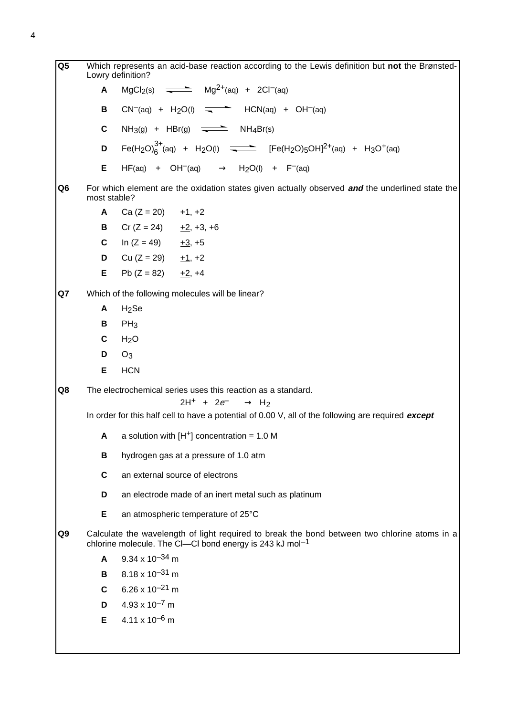**Q5** Which represents an acid-base reaction according to the Lewis definition but **not** the Brønsted-Lowry definition? **A** MgCl<sub>2</sub>(s)  $\frac{1}{2}$  Mg<sup>2+</sup>(aq) + 2Cl<sup>-</sup>(aq) **B**  $CN^{-}(aq) + H_{2}O(1)$   $\longrightarrow$  HCN(aq) + OH<sup>-</sup>(aq) **C**  $NH_3(g)$  +  $HBr(g)$   $\longrightarrow$   $NH_4Br(s)$ **D** Fe(H<sub>2</sub>O) $_6^{3+}$ (aq) + H<sub>2</sub>O(I)  $\implies$  [Fe(H<sub>2</sub>O)<sub>5</sub>OH]<sup>2+</sup>(aq) + H<sub>3</sub>O<sup>+</sup>(aq) **E** HF(aq) + OH<sup>-</sup>(aq)  $\longrightarrow$  H<sub>2</sub>O(I) + F<sup>-</sup>(aq) **Q6** For which element are the oxidation states given actually observed **and** the underlined state the most stable? **A**  $Ca (Z = 20)$  +1, +2 **B** Cr ( $Z = 24$ )  $+2$ ,  $+3$ ,  $+6$ **C** In  $(Z = 49)$   $+3, +5$ **D** Cu ( $Z = 29$ )  $+1$ , +2 **E** Pb  $(Z = 82)$  +2, +4 **Q7** Which of the following molecules will be linear?  $A$   $H_2$ Se  $B$   $PH_3$  $C$  H<sub>2</sub>O **D** O3 **E** HCN **Q8** The electrochemical series uses this reaction as a standard.  $2H^{+} + 2e^{-} \longrightarrow H_{2}$ In order for this half cell to have a potential of 0.00 V, all of the following are required **except A** a solution with  $[H^+]$  concentration = 1.0 M **B** hydrogen gas at a pressure of 1.0 atm **C** an external source of electrons **D** an electrode made of an inert metal such as platinum **E** an atmospheric temperature of 25°C **Q9** Calculate the wavelength of light required to break the bond between two chlorine atoms in a chlorine molecule. The CI--CI bond energy is 243 kJ mol<sup>-1</sup> **A** 9.34 x  $10^{-34}$  m **B** 8.18 x 10<sup>-31</sup> m  $C = 6.26 \times 10^{-21}$  m **D**  $4.93 \times 10^{-7}$  m **E** 4.11 x 10<sup>-6</sup> m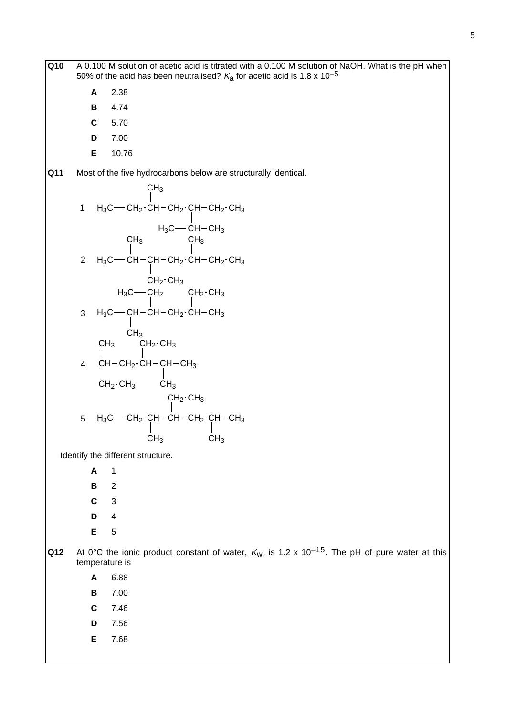| Q10 |                | A 0.100 M solution of acetic acid is titrated with a 0.100 M solution of NaOH. What is the pH when<br>50% of the acid has been neutralised? $K_a$ for acetic acid is 1.8 x 10 <sup>-5</sup> |
|-----|----------------|---------------------------------------------------------------------------------------------------------------------------------------------------------------------------------------------|
|     | A              | 2.38                                                                                                                                                                                        |
|     | В              | 4.74                                                                                                                                                                                        |
|     | $\mathbf c$    | 5.70                                                                                                                                                                                        |
|     | D              | 7.00                                                                                                                                                                                        |
|     | Е              | 10.76                                                                                                                                                                                       |
| Q11 |                | Most of the five hydrocarbons below are structurally identical.                                                                                                                             |
|     |                | CH <sub>3</sub>                                                                                                                                                                             |
|     |                | 1 $H_3C$ - $CH_2$ $CH$ - $CH_2$ $CH$ - $CH_2$ $CH_3$                                                                                                                                        |
|     |                |                                                                                                                                                                                             |
|     |                | $H_3C$ - CH - CH <sub>3</sub><br>$CH_3$ $CH_3$                                                                                                                                              |
|     |                |                                                                                                                                                                                             |
|     | $\overline{2}$ | $H_3C$ - CH - CH - CH <sub>2</sub> · CH - CH <sub>2</sub> · CH <sub>3</sub>                                                                                                                 |
|     |                | $CH_2$ -CH <sub>3</sub>                                                                                                                                                                     |
|     |                | $\begin{array}{ccc} H_3C \text{---}~CH_2 & \quad & CH_2 \text{-}CH_3 \\ \mid & \quad & \mid \end{array}$                                                                                    |
|     | 3              | $H_3C$ - CH - CH - CH <sub>2</sub> · CH - CH <sub>3</sub>                                                                                                                                   |
|     |                | CH <sub>3</sub>                                                                                                                                                                             |
|     |                | $CH_2$ -CH <sub>3</sub><br>CH <sub>3</sub>                                                                                                                                                  |
|     | $\overline{4}$ | $CH-CH2$ -CH-CH-CH <sub>3</sub>                                                                                                                                                             |
|     |                | $CH_2$ -CH <sub>3</sub> $CH_3$                                                                                                                                                              |
|     |                |                                                                                                                                                                                             |
|     |                | $CH_2 \cdot CH_3$                                                                                                                                                                           |
|     | 5              | $H_3C$ - CH <sub>2</sub> · CH - CH - CH <sub>2</sub> · CH - CH <sub>3</sub>                                                                                                                 |
|     |                | $CH_3$ CH <sub>3</sub>                                                                                                                                                                      |
|     |                | Identify the different structure.                                                                                                                                                           |
|     | A              | 1                                                                                                                                                                                           |
|     | В              | $\overline{\mathbf{c}}$                                                                                                                                                                     |
|     | C              | 3                                                                                                                                                                                           |
|     | D              | 4                                                                                                                                                                                           |
|     | E              | 5                                                                                                                                                                                           |
| Q12 | temperature is | At 0°C the ionic product constant of water, $K_w$ , is 1.2 x 10 <sup>-15</sup> . The pH of pure water at this                                                                               |
|     | A              | 6.88                                                                                                                                                                                        |
|     | В              | 7.00                                                                                                                                                                                        |
|     | C              | 7.46                                                                                                                                                                                        |
|     | D              | 7.56                                                                                                                                                                                        |
|     | Е              | 7.68                                                                                                                                                                                        |
|     |                |                                                                                                                                                                                             |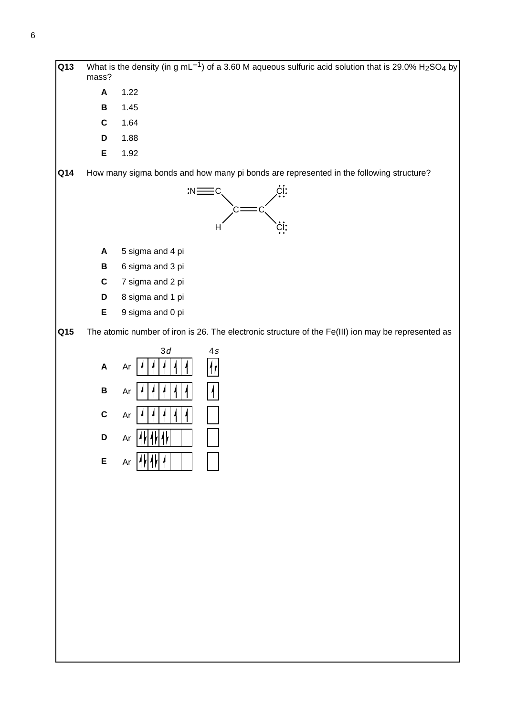**Q13** What is the density (in g mL<sup>-1</sup>) of a 3.60 M aqueous sulfuric acid solution that is 29.0% H<sub>2</sub>SO<sub>4</sub> by mass? **A** 1.22 **B** 1.45 **C** 1.64 **D** 1.88 **E** 1.92 **Q14** How many sigma bonds and how many pi bonds are represented in the following structure?  $\dot{\mathrm{C}}$ i: N $\equiv$ c  $c = c$ H Cl **A** 5 sigma and 4 pi **B** 6 sigma and 3 pi **C** 7 sigma and 2 pi **D** 8 sigma and 1 pi **E** 9 sigma and 0 pi **Q15** The atomic number of iron is 26. The electronic structure of the Fe(III) ion may be represented as 3d 4<sup>s</sup>  $\overline{\mathcal{H}}$ **A** Ar **B** Ar  $\overline{\mathcal{L}}$ **C** Ar **D** Ar **E** Ar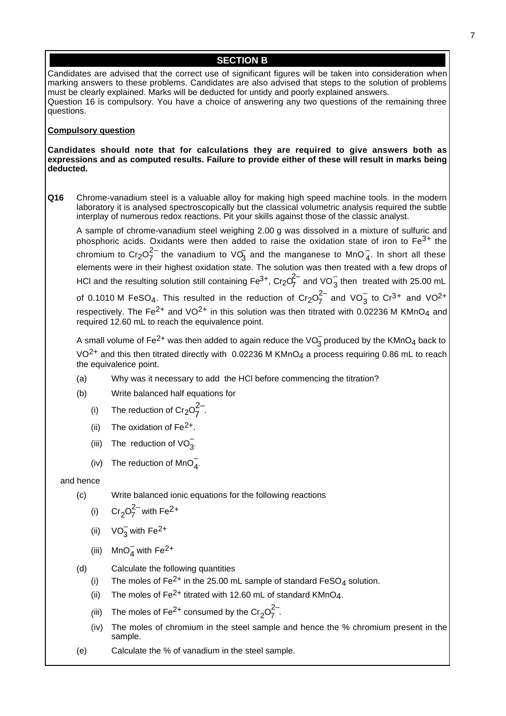## **SECTION B**

Candidates are advised that the correct use of significant figures will be taken into consideration when marking answers to these problems. Candidates are also advised that steps to the solution of problems must be clearly explained. Marks will be deducted for untidy and poorly explained answers. Question 16 is compulsory. You have a choice of answering any two questions of the remaining three questions.

## **Compulsory question**

### **Candidates should note that for calculations they are required to give answers both as expressions and as computed results. Failure to provide either of these will result in marks being deducted.**

**Q16** Chrome-vanadium steel is a valuable alloy for making high speed machine tools. In the modern laboratory it is analysed spectroscopically but the classical volumetric analysis required the subtle interplay of numerous redox reactions. Pit your skills against those of the classic analyst.

A sample of chrome-vanadium steel weighing 2.00 g was dissolved in a mixture of sulfuric and phosphoric acids. Oxidants were then added to raise the oxidation state of iron to  $Fe<sup>3+</sup>$  the chromium to Cr<sub>2</sub>O<sub>7</sub><sup>2–</sup> the vanadium to VO<sub>3</sub> and the manganese to MnO<sub>4</sub>. In short all these elements were in their highest oxidation state. The solution was then treated with a few drops of HCl and the resulting solution still containing Fe $^{3+}$ , Cr $_2$ O $^{2-}_7$  and VO $^{-}_3$  then  $\,$  treated with 25.00 mL

of 0.1010 M FeSO<sub>4</sub>. This resulted in the reduction of Cr<sub>2</sub>O<sub>7</sub><sup>2</sup> and VO<sub>3</sub> to Cr<sup>3+</sup> and VO<sup>2+</sup> respectively. The Fe<sup>2+</sup> and VO<sup>2+</sup> in this solution was then titrated with 0.02236 M KMnO<sub>4</sub> and required 12.60 mL to reach the equivalence point.

A small volume of Fe<sup>2+</sup> was then added to again reduce the VO $_3^-$ produced by the KMnO $_4$  back to VO<sup>2+</sup> and this then titrated directly with 0.02236 M KMnO<sub>4</sub> a process requiring 0.86 mL to reach the equivalence point.

- (a) Why was it necessary to add the HCl before commencing the titration?
- (b) Write balanced half equations for
	- (i) The reduction of  $Cr_2O_7^{2-}$ .
	- (ii) The oxidation of  $Fe<sup>2+</sup>$ .
	- (iii) The reduction of  $VO_3^-$ .
	- (iv) The reduction of  $MnO_4^-$ .

and hence

- (c) Write balanced ionic equations for the following reactions
	- (i)  $Cr_2O_7^{2-}$  with Fe<sup>2+</sup>
	- (ii)  $VO_3^-$  with Fe<sup>2+</sup>
	- (iii)  $\text{MnO}_4^-$  with Fe<sup>2+</sup>
- (d) Calculate the following quantities
	- (i) The moles of Fe<sup>2+</sup> in the 25.00 mL sample of standard FeSO<sub>4</sub> solution.
	- (ii) The moles of  $Fe^{2+}$  titrated with 12.60 mL of standard KMnO $_4$ .
	- (iii) The moles of Fe<sup>2+</sup> consumed by the Cr<sub>2</sub>O<sub>7</sub><sup>2</sup>
	- (iv) The moles of chromium in the steel sample and hence the % chromium present in the sample.
- (e) Calculate the % of vanadium in the steel sample.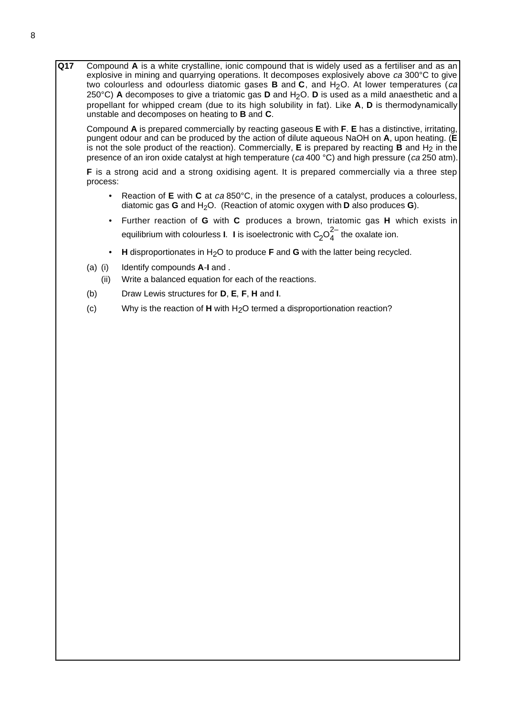**Q17** Compound **A** is a white crystalline, ionic compound that is widely used as a fertiliser and as an explosive in mining and quarrying operations. It decomposes explosively above ca 300°C to give two colourless and odourless diatomic gases **B** and **C**, and H2O. At lower temperatures (ca 250°C) A decomposes to give a triatomic gas D and H<sub>2</sub>O. D is used as a mild anaesthetic and a propellant for whipped cream (due to its high solubility in fat). Like **A**, **D** is thermodynamically unstable and decomposes on heating to **B** and **C**.

Compound **A** is prepared commercially by reacting gaseous **E** with **F**. **E** has a distinctive, irritating, pungent odour and can be produced by the action of dilute aqueous NaOH on **A**, upon heating. (**E** is not the sole product of the reaction). Commercially, **E** is prepared by reacting **B** and H2 in the presence of an iron oxide catalyst at high temperature (ca 400 °C) and high pressure (ca 250 atm).

**F** is a strong acid and a strong oxidising agent. It is prepared commercially via a three step process:

- Reaction of **E** with **C** at ca 850°C, in the presence of a catalyst, produces a colourless, diatomic gas **G** and H<sub>2</sub>O. (Reaction of atomic oxygen with **D** also produces **G**).
- Further reaction of **G** with **C** produces a brown, triatomic gas **H** which exists in equilibrium with colourless **I**. **I** is isoelectronic with  $C_2O_4^{2-}$  the oxalate ion.
- **H** disproportionates in H<sub>2</sub>O to produce **F** and **G** with the latter being recycled.
- (a) (i) Identify compounds **A**-**I** and .
	- (ii) Write a balanced equation for each of the reactions.
- (b) Draw Lewis structures for **D**, **E**, **F**, **H** and **I**.
- (c) Why is the reaction of **H** with H<sub>2</sub>O termed a disproportionation reaction?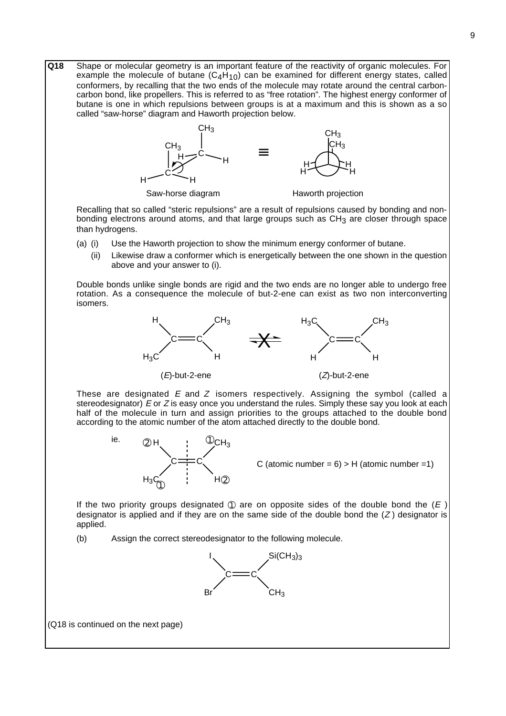**Q18** Shape or molecular geometry is an important feature of the reactivity of organic molecules. For example the molecule of butane  $(C_4H_{10})$  can be examined for different energy states, called conformers, by recalling that the two ends of the molecule may rotate around the central carboncarbon bond, like propellers. This is referred to as "free rotation". The highest energy conformer of butane is one in which repulsions between groups is at a maximum and this is shown as a so called "saw-horse" diagram and Haworth projection below.  $CH<sub>3</sub>$ CH3  $CH<sub>3</sub>$ 



Recalling that so called "steric repulsions" are a result of repulsions caused by bonding and nonbonding electrons around atoms, and that large groups such as  $CH<sub>3</sub>$  are closer through space than hydrogens.

- (a) (i) Use the Haworth projection to show the minimum energy conformer of butane.
	- (ii) Likewise draw a conformer which is energetically between the one shown in the question above and your answer to (i).

Double bonds unlike single bonds are rigid and the two ends are no longer able to undergo free rotation. As a consequence the molecule of but-2-ene can exist as two non interconverting isomers.



These are designated  $E$  and  $Z$  isomers respectively. Assigning the symbol (called a stereodesignator) E or Z is easy once you understand the rules. Simply these say you look at each half of the molecule in turn and assign priorities to the groups attached to the double bond according to the atomic number of the atom attached directly to the double bond.



C (atomic number =  $6$ ) > H (atomic number = 1)

If the two priority groups designated  $\odot$  are on opposite sides of the double bond the (E) designator is applied and if they are on the same side of the double bond the  $(Z)$  designator is applied.

(b) Assign the correct stereodesignator to the following molecule.



(Q18 is continued on the next page)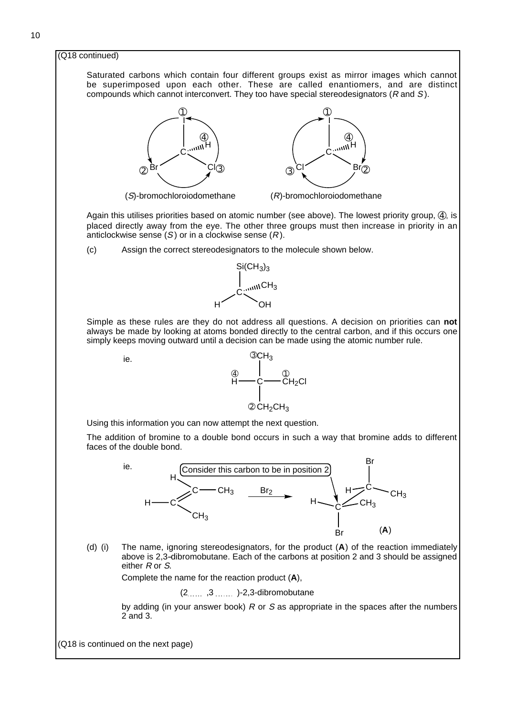

(Q18 is continued on the next page)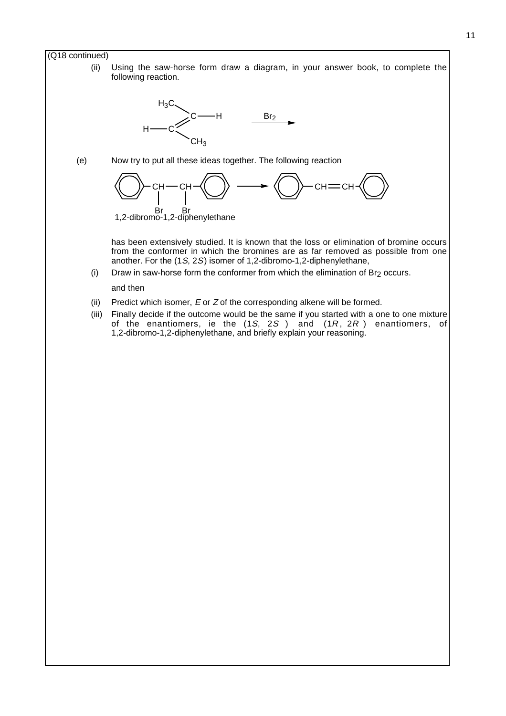#### (Q18 continued)

(ii) Using the saw-horse form draw a diagram, in your answer book, to complete the following reaction.



(e) Now try to put all these ideas together. The following reaction



has been extensively studied. It is known that the loss or elimination of bromine occurs from the conformer in which the bromines are as far removed as possible from one another. For the (1S, 2S) isomer of 1,2-dibromo-1,2-diphenylethane,

(i) Draw in saw-horse form the conformer from which the elimination of  $Br<sub>2</sub>$  occurs.

#### and then

- (ii) Predict which isomer,  $E$  or  $Z$  of the corresponding alkene will be formed.
- (iii) Finally decide if the outcome would be the same if you started with a one to one mixture of the enantiomers, ie the  $(1S, 2S)$  and  $(1R, 2R)$  enantiomers, of 1,2-dibromo-1,2-diphenylethane, and briefly explain your reasoning.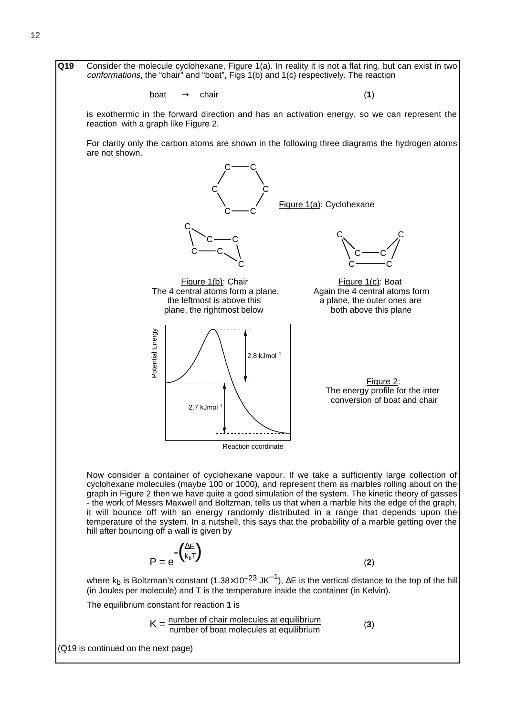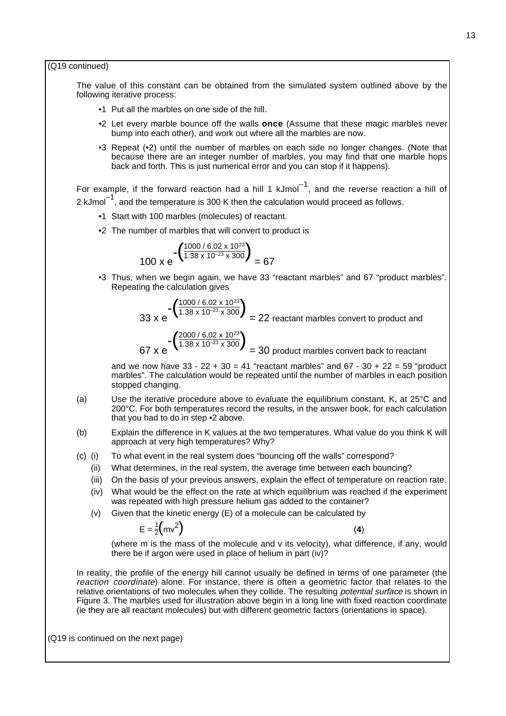### (Q19 continued)

The value of this constant can be obtained from the simulated system outlined above by the following iterative process:

- •1 Put all the marbles on one side of the hill.
- •2 Let every marble bounce off the walls **once** (Assume that these magic marbles never bump into each other), and work out where all the marbles are now.
- •3 Repeat (•2) until the number of marbles on each side no longer changes. (Note that because there are an integer number of marbles, you may find that one marble hops back and forth. This is just numerical error and you can stop if it happens).

For example, if the forward reaction had a hill 1 kJmol $^{-1}$ , and the reverse reaction a hill of 2 kJmol<sup>-1</sup>, and the temperature is 300 K then the calculation would proceed as follows.

- •1 Start with 100 marbles (molecules) of reactant.
- •2 The number of marbles that will convert to product is

$$
100 \times e^{-\left(\frac{1000}{1.38 \times 10^{-23} \times 300}\right)} = 67
$$

•3 Thus, when we begin again, we have 33 "reactant marbles" and 67 "product marbles". Repeating the calculation gives

$$
33 \times e^{-\left(\frac{1000}{1.38 \times 10^{-23} \times 300}\right)} = 22
$$
 reactant marbles convert to product and  
67 x e<sup>-\left(\frac{2000}{1.38 \times 10^{-23} \times 300}\right)} = 30 product marbles convert back to reactant</sup>

and we now have  $33 - 22 + 30 = 41$  "reactant marbles" and  $67 - 30 + 22 = 59$  "product marbles". The calculation would be repeated until the number of marbles in each position stopped changing.

- (a) Use the iterative procedure above to evaluate the equilibrium constant, K, at 25°C and 200°C. For both temperatures record the results, in the answer book, for each calculation that you had to do in step •2 above.
- (b) Explain the difference in K values at the two temperatures. What value do you think K will approach at very high temperatures? Why?
- (c) (i) To what event in the real system does "bouncing off the walls" correspond?
	- (ii) What determines, in the real system, the average time between each bouncing?
	- (iii) On the basis of your previous answers, explain the effect of temperature on reaction rate.
	- (iv) What would be the effect on the rate at which equilibrium was reached if the experiment was repeated with high pressure helium gas added to the container?
	- (v) Given that the kinetic energy (E) of a molecule can be calculated by

$$
E = \frac{1}{2}(mv^2)
$$
 (4)

(where m is the mass of the molecule and v its velocity), what difference, if any, would there be if argon were used in place of helium in part (iv)?

In reality, the profile of the energy hill cannot usually be defined in terms of one parameter (the reaction coordinate) alone. For instance, there is often a geometric factor that relates to the relative orientations of two molecules when they collide. The resulting *potential surface* is shown in Figure 3. The marbles used for illustration above begin in a long line with fixed reaction coordinate (ie they are all reactant molecules) but with different geometric factors (orientations in space).

(Q19 is continued on the next page)